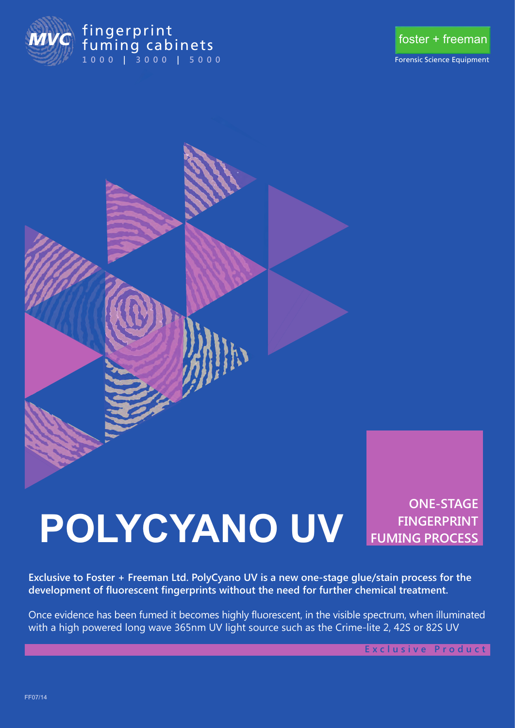

### **1000 | 3000 | 5000** fuming cabi 1000 | 3000 | 500



Forensic Science Equipment



# **POLYCYANO UV**

**ONE-STAGE FINGERPRINT FUMING PROCESS**

**Exclusive to Foster + Freeman Ltd. PolyCyano UV is a new one-stage glue/stain process for the development of fluorescent fingerprints without the need for further chemical treatment.** 

Once evidence has been fumed it becomes highly fluorescent, in the visible spectrum, when illuminated with a high powered long wave 365nm UV light source such as the Crime-lite 2, 42S or 82S UV